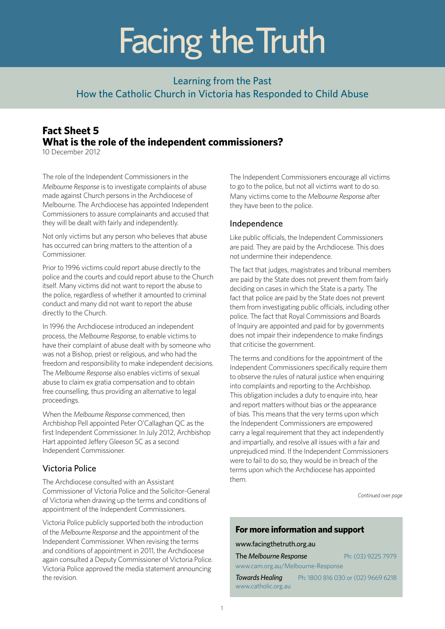# Facing the Truth

### Learning from the Past How the Catholic Church in Victoria has Responded to Child Abuse

## **Fact Sheet 5 What is the role of the independent commissioners?**

10 December 2012

The role of the Independent Commissioners in the *Melbourne Response* is to investigate complaints of abuse made against Church persons in the Archdiocese of Melbourne. The Archdiocese has appointed Independent Commissioners to assure complainants and accused that they will be dealt with fairly and independently.

Not only victims but any person who believes that abuse has occurred can bring matters to the attention of a Commissioner.

Prior to 1996 victims could report abuse directly to the police and the courts and could report abuse to the Church itself. Many victims did not want to report the abuse to the police, regardless of whether it amounted to criminal conduct and many did not want to report the abuse directly to the Church.

In 1996 the Archdiocese introduced an independent process, the *Melbourne Response*, to enable victims to have their complaint of abuse dealt with by someone who was not a Bishop, priest or religious, and who had the freedom and responsibility to make independent decisions. The *Melbourne Response* also enables victims of sexual abuse to claim ex gratia compensation and to obtain free counselling, thus providing an alternative to legal proceedings.

When the *Melbourne Response* commenced, then Archbishop Pell appointed Peter O'Callaghan QC as the first Independent Commissioner. In July 2012, Archbishop Hart appointed Jeffery Gleeson SC as a second Independent Commissioner.

#### Victoria Police

The Archdiocese consulted with an Assistant Commissioner of Victoria Police and the Solicitor-General of Victoria when drawing up the terms and conditions of appointment of the Independent Commissioners.

Victoria Police publicly supported both the introduction of the *Melbourne Response* and the appointment of the Independent Commissioner. When revising the terms and conditions of appointment in 2011, the Archdiocese again consulted a Deputy Commissioner of Victoria Police. Victoria Police approved the media statement announcing the revision.

The Independent Commissioners encourage all victims to go to the police, but not all victims want to do so. Many victims come to the *Melbourne Response* after they have been to the police.

#### Independence

Like public officials, the Independent Commissioners are paid. They are paid by the Archdiocese. This does not undermine their independence.

The fact that judges, magistrates and tribunal members are paid by the State does not prevent them from fairly deciding on cases in which the State is a party. The fact that police are paid by the State does not prevent them from investigating public officials, including other police. The fact that Royal Commissions and Boards of Inquiry are appointed and paid for by governments does not impair their independence to make findings that criticise the government.

The terms and conditions for the appointment of the Independent Commissioners specifically require them to observe the rules of natural justice when enquiring into complaints and reporting to the Archbishop. This obligation includes a duty to enquire into, hear and report matters without bias or the appearance of bias. This means that the very terms upon which the Independent Commissioners are empowered carry a legal requirement that they act independently and impartially, and resolve all issues with a fair and unprejudiced mind. If the Independent Commissioners were to fail to do so, they would be in breach of the terms upon which the Archdiocese has appointed them.

*Continued over page*

#### **For more information and support**

www.facingthetruth.org.au **The Melbourne Response** 

|  | Ph: (03) 9225 7979 |  |
|--|--------------------|--|
|  |                    |  |

www.cam.org.au/Melbourne-Response

*Towards Healing* Ph: 1800 816 030 or (02) 9669 6218 www.catholic.org.au